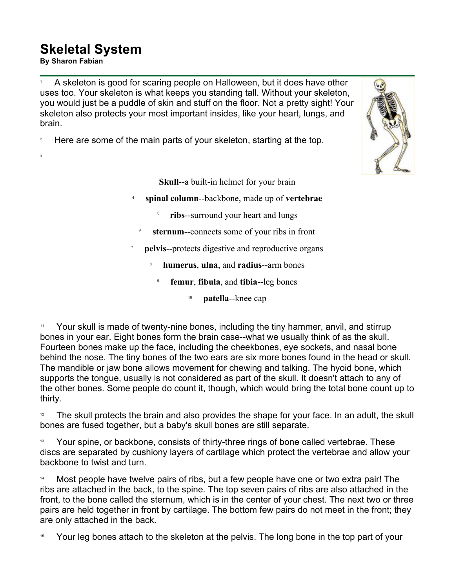## **Skeletal System By Sharon Fabian<br>By Sharon Fabian**

3

1 A skeleton is good for scaring people on Halloween, but it does have other uses too. Your skeleton is what keeps you standing tall. Without your skeleton, you would just be a puddle of skin and stuff on the floor. Not a pretty sight! Your skeleton also protects your most important insides, like your heart, lungs, and brain.

2 Here are some of the main parts of your skeleton, starting at the top.

6



**Skull**--a built-in helmet for your brain

4 **spinal column**--backbone, made up of **vertebrae**

- 5 **ribs**--surround your heart and lungs
- **sternum**--connects some of your ribs in front
- 7 **pelvis**--protects digestive and reproductive organs
	- 8 **humerus**, **ulna**, and **radius**--arm bones
		- 9 **femur**, **fibula**, and **tibia**--leg bones
			- <sup>10</sup> **patella**--knee cap

Your skull is made of twenty-nine bones, including the tiny hammer, anvil, and stirrup bones in your ear. Eight bones form the brain case--what we usually think of as the skull. Fourteen bones make up the face, including the cheekbones, eye sockets, and nasal bone behind the nose. The tiny bones of the two ears are six more bones found in the head or skull. The mandible or jaw bone allows movement for chewing and talking. The hyoid bone, which supports the tongue, usually is not considered as part of the skull. It doesn't attach to any of the other bones. Some people do count it, though, which would bring the total bone count up to thirty.

 $12$  The skull protects the brain and also provides the shape for your face. In an adult, the skull bones are fused together, but a baby's skull bones are still separate.

<sup>13</sup> Your spine, or backbone, consists of thirty-three rings of bone called vertebrae. These discs are separated by cushiony layers of cartilage which protect the vertebrae and allow your backbone to twist and turn.

Most people have twelve pairs of ribs, but a few people have one or two extra pair! The ribs are attached in the back, to the spine. The top seven pairs of ribs are also attached in the front, to the bone called the sternum, which is in the center of your chest. The next two or three pairs are held together in front by cartilage. The bottom few pairs do not meet in the front; they are only attached in the back.

<sup>15</sup> Your leg bones attach to the skeleton at the pelvis. The long bone in the top part of your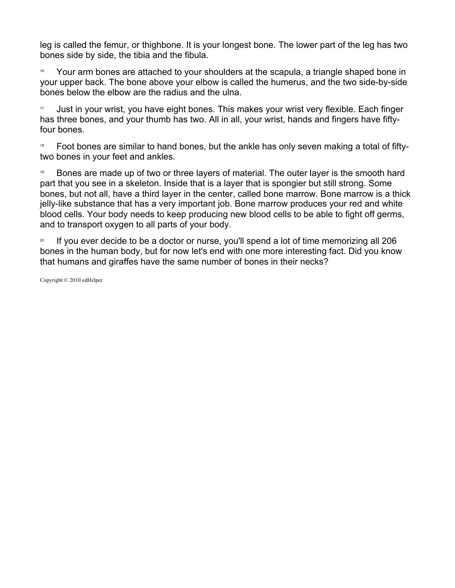leg is called the femur, or thighbone. It is your longest bone. The lower part of the leg has two bones side by side, the tibia and the fibula.

<sup>16</sup> Your arm bones are attached to your shoulders at the scapula, a triangle shaped bone in your upper back. The bone above your elbow is called the humerus, and the two side-by-side bones below the elbow are the radius and the ulna.

17 Just in your wrist, you have eight bones. This makes your wrist very flexible. Each finger has three bones, and your thumb has two. All in all, your wrist, hands and fingers have fiftyfour bones.

<sup>18</sup> Foot bones are similar to hand bones, but the ankle has only seven making a total of fiftytwo bones in your feet and ankles.

19 Bones are made up of two or three layers of material. The outer layer is the smooth hard part that you see in a skeleton. Inside that is a layer that is spongier but still strong. Some bones, but not all, have a third layer in the center, called bone marrow. Bone marrow is a thick jelly-like substance that has a very important job. Bone marrow produces your red and white blood cells. Your body needs to keep producing new blood cells to be able to fight off germs, and to transport oxygen to all parts of your body.

<sup>20</sup> If you ever decide to be a doctor or nurse, you'll spend a lot of time memorizing all 206 bones in the human body, but for now let's end with one more interesting fact. Did you know that humans and giraffes have the same number of bones in their necks?

Copyright © 2010 edHelper